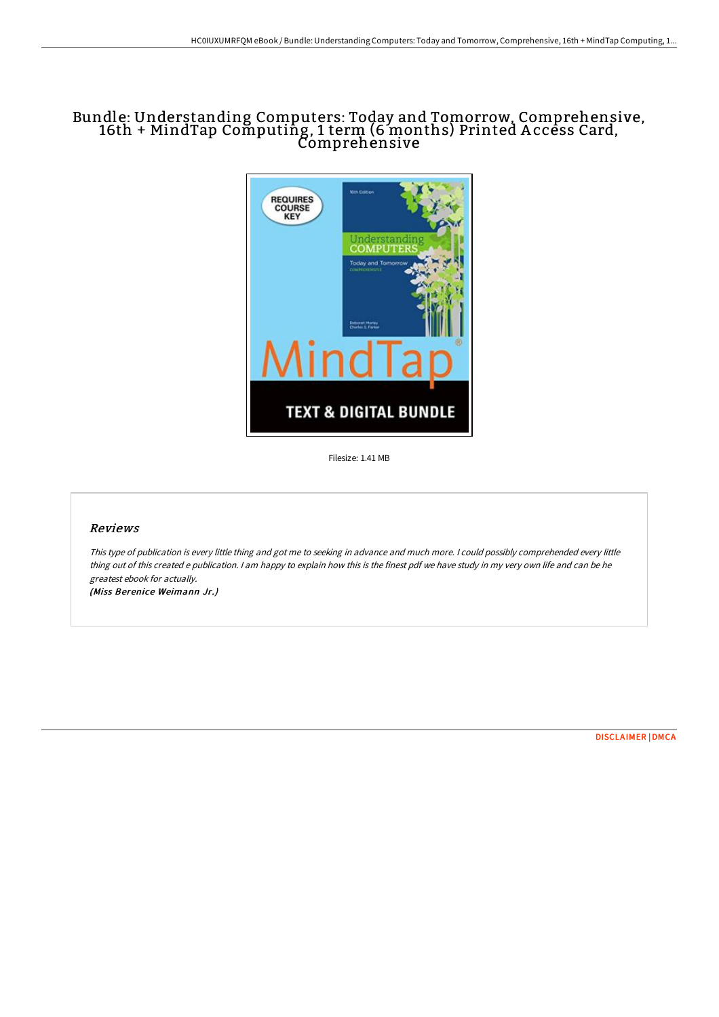# Bundle: Understanding Computers: Today and Tomorrow, Comprehensive, 16th + MindTap Computing, 1 term (6 months) Printed A ccess Card, Comprehensive



Filesize: 1.41 MB

# Reviews

This type of publication is every little thing and got me to seeking in advance and much more. <sup>I</sup> could possibly comprehended every little thing out of this created <sup>e</sup> publication. <sup>I</sup> am happy to explain how this is the finest pdf we have study in my very own life and can be he greatest ebook for actually.

(Miss Berenice Weimann Jr.)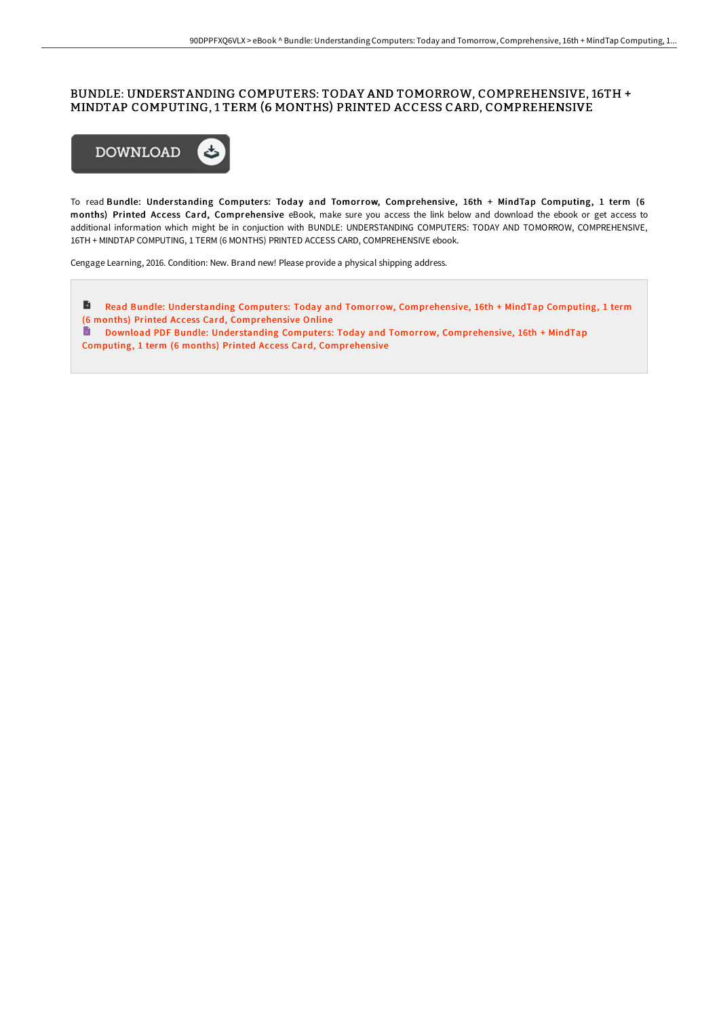#### BUNDLE: UNDERSTANDING COMPUTERS: TODAY AND TOMORROW, COMPREHENSIVE, 16TH + MINDTAP COMPUTING, 1 TERM (6 MONTHS) PRINTED ACCESS CARD, COMPREHENSIVE



To read Bundle: Understanding Computers: Today and Tomorrow, Comprehensive, 16th + MindTap Computing, 1 term (6 months) Printed Access Card, Comprehensive eBook, make sure you access the link below and download the ebook or get access to additional information which might be in conjuction with BUNDLE: UNDERSTANDING COMPUTERS: TODAY AND TOMORROW, COMPREHENSIVE, 16TH + MINDTAP COMPUTING, 1 TERM (6 MONTHS) PRINTED ACCESS CARD, COMPREHENSIVE ebook.

Cengage Learning, 2016. Condition: New. Brand new! Please provide a physical shipping address.